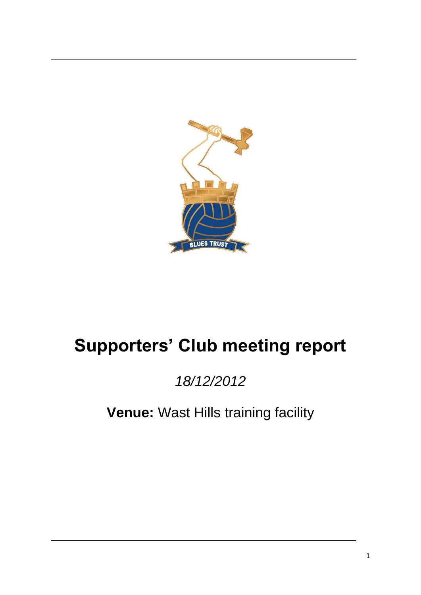

# **Supporters' Club meeting report**

## *18/12/2012*

**Venue:** Wast Hills training facility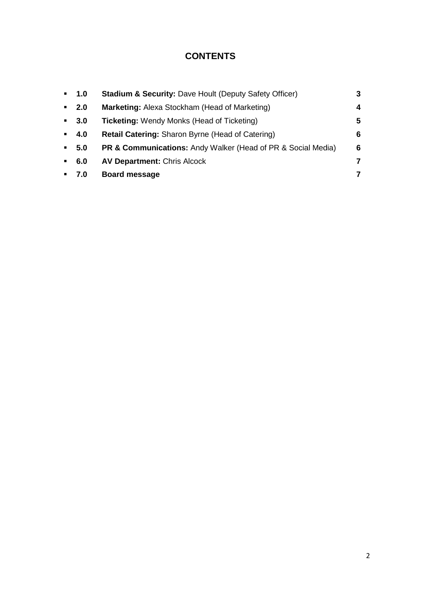## **CONTENTS**

| $\mathbf{m}$ . | 1.0    | <b>Stadium &amp; Security: Dave Hoult (Deputy Safety Officer)</b>       | 3 |
|----------------|--------|-------------------------------------------------------------------------|---|
| $\mathbf{m}$   | 2.0    | Marketing: Alexa Stockham (Head of Marketing)                           | 4 |
|                | $-3.0$ | <b>Ticketing: Wendy Monks (Head of Ticketing)</b>                       | 5 |
|                | $-4.0$ | Retail Catering: Sharon Byrne (Head of Catering)                        | 6 |
| $\mathbf{H}$ . | 5.0    | <b>PR &amp; Communications:</b> Andy Walker (Head of PR & Social Media) | 6 |
| $\mathbf{u}$   | 6.0    | <b>AV Department: Chris Alcock</b>                                      | 7 |
|                | 7.0    | <b>Board message</b>                                                    | 7 |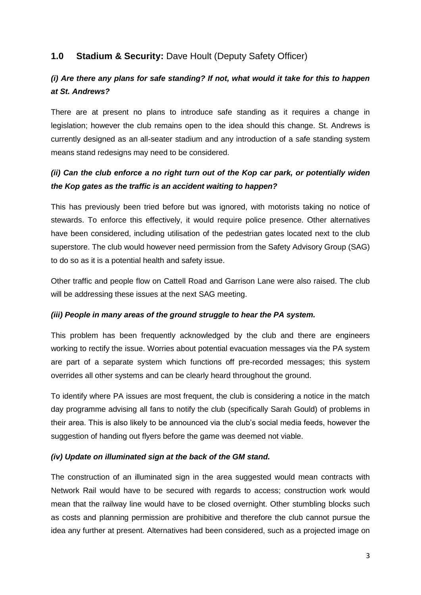## **1.0 Stadium & Security:** Dave Hoult (Deputy Safety Officer)

## *(i) Are there any plans for safe standing? If not, what would it take for this to happen at St. Andrews?*

There are at present no plans to introduce safe standing as it requires a change in legislation; however the club remains open to the idea should this change. St. Andrews is currently designed as an all-seater stadium and any introduction of a safe standing system means stand redesigns may need to be considered.

## *(ii) Can the club enforce a no right turn out of the Kop car park, or potentially widen the Kop gates as the traffic is an accident waiting to happen?*

This has previously been tried before but was ignored, with motorists taking no notice of stewards. To enforce this effectively, it would require police presence. Other alternatives have been considered, including utilisation of the pedestrian gates located next to the club superstore. The club would however need permission from the Safety Advisory Group (SAG) to do so as it is a potential health and safety issue.

Other traffic and people flow on Cattell Road and Garrison Lane were also raised. The club will be addressing these issues at the next SAG meeting.

#### *(iii) People in many areas of the ground struggle to hear the PA system.*

This problem has been frequently acknowledged by the club and there are engineers working to rectify the issue. Worries about potential evacuation messages via the PA system are part of a separate system which functions off pre-recorded messages; this system overrides all other systems and can be clearly heard throughout the ground.

To identify where PA issues are most frequent, the club is considering a notice in the match day programme advising all fans to notify the club (specifically Sarah Gould) of problems in their area. This is also likely to be announced via the club's social media feeds, however the suggestion of handing out flyers before the game was deemed not viable.

## *(iv) Update on illuminated sign at the back of the GM stand.*

The construction of an illuminated sign in the area suggested would mean contracts with Network Rail would have to be secured with regards to access; construction work would mean that the railway line would have to be closed overnight. Other stumbling blocks such as costs and planning permission are prohibitive and therefore the club cannot pursue the idea any further at present. Alternatives had been considered, such as a projected image on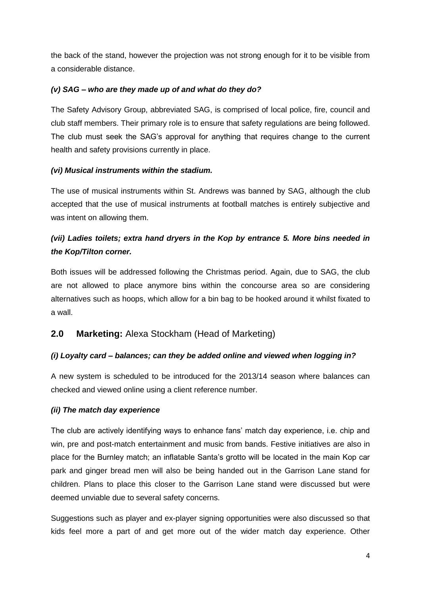the back of the stand, however the projection was not strong enough for it to be visible from a considerable distance.

## *(v) SAG – who are they made up of and what do they do?*

The Safety Advisory Group, abbreviated SAG, is comprised of local police, fire, council and club staff members. Their primary role is to ensure that safety regulations are being followed. The club must seek the SAG's approval for anything that requires change to the current health and safety provisions currently in place.

## *(vi) Musical instruments within the stadium.*

The use of musical instruments within St. Andrews was banned by SAG, although the club accepted that the use of musical instruments at football matches is entirely subjective and was intent on allowing them.

## *(vii) Ladies toilets; extra hand dryers in the Kop by entrance 5. More bins needed in the Kop/Tilton corner.*

Both issues will be addressed following the Christmas period. Again, due to SAG, the club are not allowed to place anymore bins within the concourse area so are considering alternatives such as hoops, which allow for a bin bag to be hooked around it whilst fixated to a wall.

## **2.0 Marketing:** Alexa Stockham (Head of Marketing)

## *(i) Loyalty card – balances; can they be added online and viewed when logging in?*

A new system is scheduled to be introduced for the 2013/14 season where balances can checked and viewed online using a client reference number.

#### *(ii) The match day experience*

The club are actively identifying ways to enhance fans' match day experience, i.e. chip and win, pre and post-match entertainment and music from bands. Festive initiatives are also in place for the Burnley match; an inflatable Santa's grotto will be located in the main Kop car park and ginger bread men will also be being handed out in the Garrison Lane stand for children. Plans to place this closer to the Garrison Lane stand were discussed but were deemed unviable due to several safety concerns.

Suggestions such as player and ex-player signing opportunities were also discussed so that kids feel more a part of and get more out of the wider match day experience. Other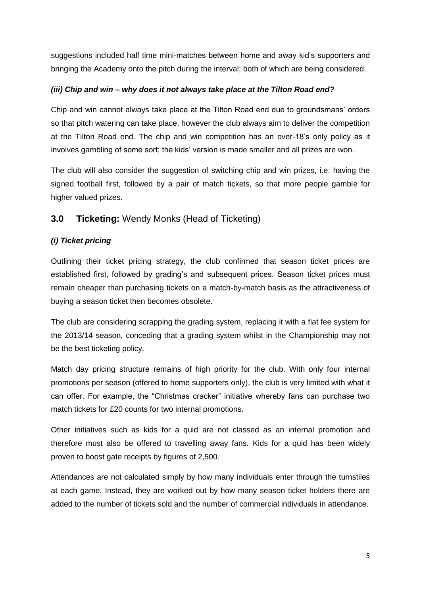suggestions included half time mini-matches between home and away kid's supporters and bringing the Academy onto the pitch during the interval; both of which are being considered.

## *(iii) Chip and win – why does it not always take place at the Tilton Road end?*

Chip and win cannot always take place at the Tilton Road end due to groundsmans' orders so that pitch watering can take place, however the club always aim to deliver the competition at the Tilton Road end. The chip and win competition has an over-18's only policy as it involves gambling of some sort; the kids' version is made smaller and all prizes are won.

The club will also consider the suggestion of switching chip and win prizes, i.e. having the signed football first, followed by a pair of match tickets, so that more people gamble for higher valued prizes.

## **3.0 Ticketing:** Wendy Monks (Head of Ticketing)

## *(i) Ticket pricing*

Outlining their ticket pricing strategy, the club confirmed that season ticket prices are established first, followed by grading's and subsequent prices. Season ticket prices must remain cheaper than purchasing tickets on a match-by-match basis as the attractiveness of buying a season ticket then becomes obsolete.

The club are considering scrapping the grading system, replacing it with a flat fee system for the 2013/14 season, conceding that a grading system whilst in the Championship may not be the best ticketing policy.

Match day pricing structure remains of high priority for the club. With only four internal promotions per season (offered to home supporters only), the club is very limited with what it can offer. For example, the "Christmas cracker" initiative whereby fans can purchase two match tickets for £20 counts for two internal promotions.

Other initiatives such as kids for a quid are not classed as an internal promotion and therefore must also be offered to travelling away fans. Kids for a quid has been widely proven to boost gate receipts by figures of 2,500.

Attendances are not calculated simply by how many individuals enter through the turnstiles at each game. Instead, they are worked out by how many season ticket holders there are added to the number of tickets sold and the number of commercial individuals in attendance.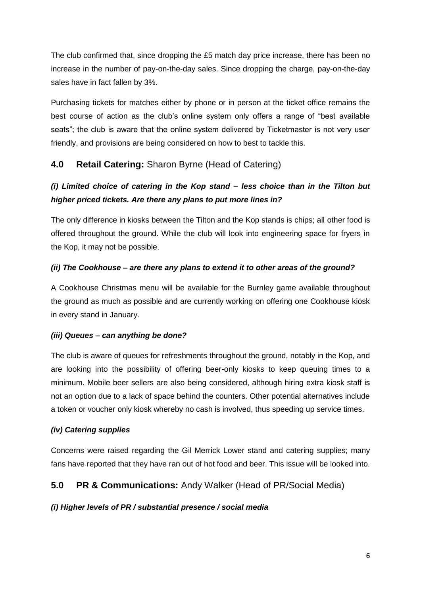The club confirmed that, since dropping the £5 match day price increase, there has been no increase in the number of pay-on-the-day sales. Since dropping the charge, pay-on-the-day sales have in fact fallen by 3%.

Purchasing tickets for matches either by phone or in person at the ticket office remains the best course of action as the club's online system only offers a range of "best available seats"; the club is aware that the online system delivered by Ticketmaster is not very user friendly, and provisions are being considered on how to best to tackle this.

## **4.0 Retail Catering:** Sharon Byrne (Head of Catering)

## *(i) Limited choice of catering in the Kop stand – less choice than in the Tilton but higher priced tickets. Are there any plans to put more lines in?*

The only difference in kiosks between the Tilton and the Kop stands is chips; all other food is offered throughout the ground. While the club will look into engineering space for fryers in the Kop, it may not be possible.

## *(ii) The Cookhouse – are there any plans to extend it to other areas of the ground?*

A Cookhouse Christmas menu will be available for the Burnley game available throughout the ground as much as possible and are currently working on offering one Cookhouse kiosk in every stand in January.

#### *(iii) Queues – can anything be done?*

The club is aware of queues for refreshments throughout the ground, notably in the Kop, and are looking into the possibility of offering beer-only kiosks to keep queuing times to a minimum. Mobile beer sellers are also being considered, although hiring extra kiosk staff is not an option due to a lack of space behind the counters. Other potential alternatives include a token or voucher only kiosk whereby no cash is involved, thus speeding up service times.

#### *(iv) Catering supplies*

Concerns were raised regarding the Gil Merrick Lower stand and catering supplies; many fans have reported that they have ran out of hot food and beer. This issue will be looked into.

## **5.0 PR & Communications:** Andy Walker (Head of PR/Social Media)

#### *(i) Higher levels of PR / substantial presence / social media*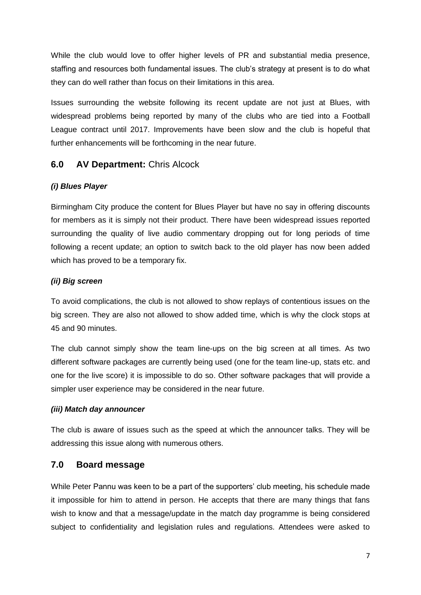While the club would love to offer higher levels of PR and substantial media presence, staffing and resources both fundamental issues. The club's strategy at present is to do what they can do well rather than focus on their limitations in this area.

Issues surrounding the website following its recent update are not just at Blues, with widespread problems being reported by many of the clubs who are tied into a Football League contract until 2017. Improvements have been slow and the club is hopeful that further enhancements will be forthcoming in the near future.

## **6.0 AV Department:** Chris Alcock

#### *(i) Blues Player*

Birmingham City produce the content for Blues Player but have no say in offering discounts for members as it is simply not their product. There have been widespread issues reported surrounding the quality of live audio commentary dropping out for long periods of time following a recent update; an option to switch back to the old player has now been added which has proved to be a temporary fix.

## *(ii) Big screen*

To avoid complications, the club is not allowed to show replays of contentious issues on the big screen. They are also not allowed to show added time, which is why the clock stops at 45 and 90 minutes.

The club cannot simply show the team line-ups on the big screen at all times. As two different software packages are currently being used (one for the team line-up, stats etc. and one for the live score) it is impossible to do so. Other software packages that will provide a simpler user experience may be considered in the near future.

#### *(iii) Match day announcer*

The club is aware of issues such as the speed at which the announcer talks. They will be addressing this issue along with numerous others.

## **7.0 Board message**

While Peter Pannu was keen to be a part of the supporters' club meeting, his schedule made it impossible for him to attend in person. He accepts that there are many things that fans wish to know and that a message/update in the match day programme is being considered subject to confidentiality and legislation rules and regulations. Attendees were asked to